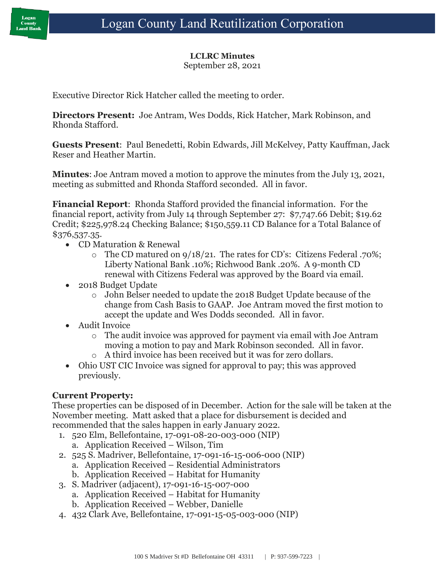#### **LCLRC Minutes**

September 28, 2021

Executive Director Rick Hatcher called the meeting to order.

**Directors Present:** Joe Antram, Wes Dodds, Rick Hatcher, Mark Robinson, and Rhonda Stafford.

**Guests Present**: Paul Benedetti, Robin Edwards, Jill McKelvey, Patty Kauffman, Jack Reser and Heather Martin.

**Minutes**: Joe Antram moved a motion to approve the minutes from the July 13, 2021, meeting as submitted and Rhonda Stafford seconded. All in favor.

**Financial Report**: Rhonda Stafford provided the financial information. For the financial report, activity from July 14 through September 27: \$7,747.66 Debit; \$19.62 Credit; \$225,978.24 Checking Balance; \$150,559.11 CD Balance for a Total Balance of \$376,537.35.

- CD Maturation & Renewal
	- o The CD matured on 9/18/21. The rates for CD's: Citizens Federal .70%; Liberty National Bank .10%; Richwood Bank .20%. A 9-month CD renewal with Citizens Federal was approved by the Board via email.
- 2018 Budget Update
	- o John Belser needed to update the 2018 Budget Update because of the change from Cash Basis to GAAP. Joe Antram moved the first motion to accept the update and Wes Dodds seconded. All in favor.
- Audit Invoice
	- o The audit invoice was approved for payment via email with Joe Antram moving a motion to pay and Mark Robinson seconded. All in favor.
	- o A third invoice has been received but it was for zero dollars.
- Ohio UST CIC Invoice was signed for approval to pay; this was approved previously.

### **Current Property:**

These properties can be disposed of in December. Action for the sale will be taken at the November meeting. Matt asked that a place for disbursement is decided and recommended that the sales happen in early January 2022.

- 1. 520 Elm, Bellefontaine, 17-091-08-20-003-000 (NIP)
	- a. Application Received Wilson, Tim
- 2. 525 S. Madriver, Bellefontaine, 17-091-16-15-006-000 (NIP)
	- a. Application Received Residential Administrators
	- b. Application Received Habitat for Humanity
- 3. S. Madriver (adjacent), 17-091-16-15-007-000
	- a. Application Received Habitat for Humanity
	- b. Application Received Webber, Danielle
- 4. 432 Clark Ave, Bellefontaine, 17-091-15-05-003-000 (NIP)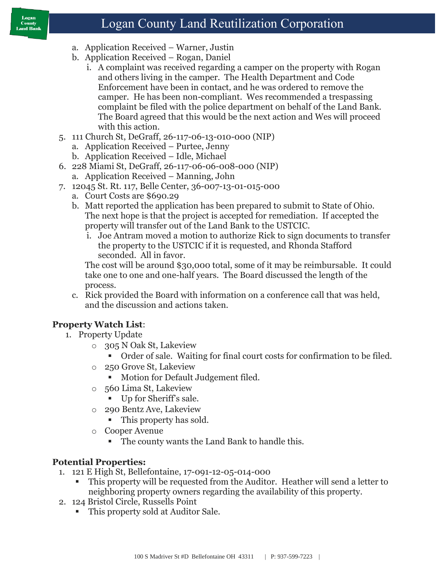#### Logan **County** Land Bank

# Logan County Land Reutilization Corporation

- a. Application Received Warner, Justin
- b. Application Received Rogan, Daniel
	- i. A complaint was received regarding a camper on the property with Rogan and others living in the camper. The Health Department and Code Enforcement have been in contact, and he was ordered to remove the camper. He has been non-compliant. Wes recommended a trespassing complaint be filed with the police department on behalf of the Land Bank. The Board agreed that this would be the next action and Wes will proceed with this action.
- 5. 111 Church St, DeGraff, 26-117-06-13-010-000 (NIP)
	- a. Application Received Purtee, Jenny
	- b. Application Received Idle, Michael
- 6. 228 Miami St, DeGraff, 26-117-06-06-008-000 (NIP)
	- a. Application Received Manning, John
- 7. 12045 St. Rt. 117, Belle Center, 36-007-13-01-015-000
	- a. Court Costs are \$690.29
	- b. Matt reported the application has been prepared to submit to State of Ohio. The next hope is that the project is accepted for remediation. If accepted the property will transfer out of the Land Bank to the USTCIC.
		- i. Joe Antram moved a motion to authorize Rick to sign documents to transfer the property to the USTCIC if it is requested, and Rhonda Stafford seconded. All in favor.

The cost will be around \$30,000 total, some of it may be reimbursable. It could take one to one and one-half years. The Board discussed the length of the process.

c. Rick provided the Board with information on a conference call that was held, and the discussion and actions taken.

## **Property Watch List**:

- 1. Property Update
	- o 305 N Oak St, Lakeview
		- Order of sale. Waiting for final court costs for confirmation to be filed.
	- o 250 Grove St, Lakeview
		- Motion for Default Judgement filed.
	- o 560 Lima St, Lakeview
		- Up for Sheriff's sale.
	- o 290 Bentz Ave, Lakeview
		- This property has sold.
	- o Cooper Avenue
		- The county wants the Land Bank to handle this.

### **Potential Properties:**

- 1. 121 E High St, Bellefontaine, 17-091-12-05-014-000
	- This property will be requested from the Auditor. Heather will send a letter to neighboring property owners regarding the availability of this property.
- 2. 124 Bristol Circle, Russells Point
	- This property sold at Auditor Sale.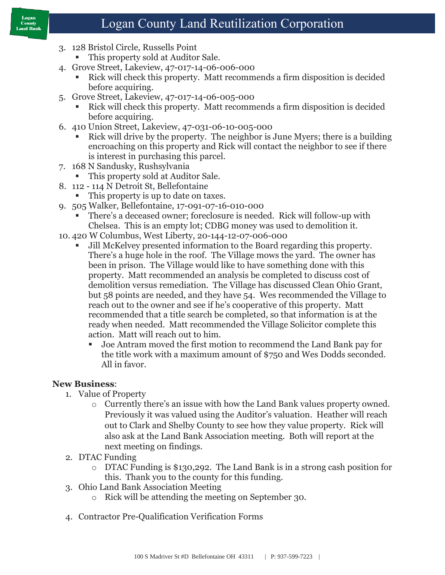#### Logan **County** Land Bank

# Logan County Land Reutilization Corporation

- 3. 128 Bristol Circle, Russells Point
	- This property sold at Auditor Sale.
- 4. Grove Street, Lakeview, 47-017-14-06-006-000
	- Rick will check this property. Matt recommends a firm disposition is decided before acquiring.
- 5. Grove Street, Lakeview, 47-017-14-06-005-000
	- Rick will check this property. Matt recommends a firm disposition is decided before acquiring.
- 6. 410 Union Street, Lakeview, 47-031-06-10-005-000
	- Rick will drive by the property. The neighbor is June Myers; there is a building encroaching on this property and Rick will contact the neighbor to see if there is interest in purchasing this parcel.
- 7. 168 N Sandusky, Rushsylvania
	- This property sold at Auditor Sale.
- 8. 112 114 N Detroit St, Bellefontaine
	- This property is up to date on taxes.
- 9. 505 Walker, Bellefontaine, 17-091-07-16-010-000
	- There's a deceased owner; foreclosure is needed. Rick will follow-up with Chelsea. This is an empty lot; CDBG money was used to demolition it.
- 10. 420 W Columbus, West Liberty, 20-144-12-07-006-000
	- Jill McKelvey presented information to the Board regarding this property. There's a huge hole in the roof. The Village mows the yard. The owner has been in prison. The Village would like to have something done with this property. Matt recommended an analysis be completed to discuss cost of demolition versus remediation. The Village has discussed Clean Ohio Grant, but 58 points are needed, and they have 54. Wes recommended the Village to reach out to the owner and see if he's cooperative of this property. Matt recommended that a title search be completed, so that information is at the ready when needed. Matt recommended the Village Solicitor complete this action. Matt will reach out to him.
		- Joe Antram moved the first motion to recommend the Land Bank pay for the title work with a maximum amount of \$750 and Wes Dodds seconded. All in favor.

## **New Business**:

- 1. Value of Property
	- o Currently there's an issue with how the Land Bank values property owned. Previously it was valued using the Auditor's valuation. Heather will reach out to Clark and Shelby County to see how they value property. Rick will also ask at the Land Bank Association meeting. Both will report at the next meeting on findings.
- 2. DTAC Funding
	- o DTAC Funding is \$130,292. The Land Bank is in a strong cash position for this. Thank you to the county for this funding.
- 3. Ohio Land Bank Association Meeting
	- o Rick will be attending the meeting on September 30.
- 4. Contractor Pre-Qualification Verification Forms